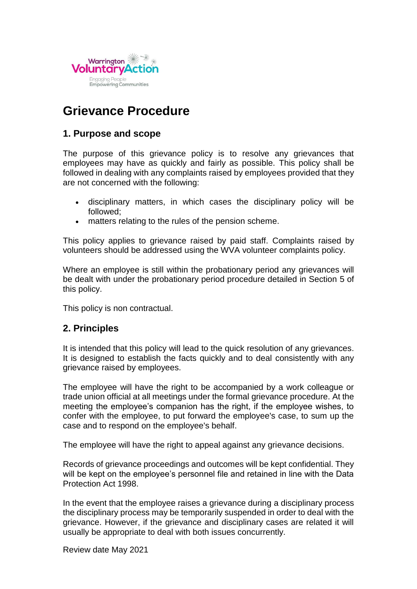

# **Grievance Procedure**

### **1. Purpose and scope**

The purpose of this grievance policy is to resolve any grievances that employees may have as quickly and fairly as possible. This policy shall be followed in dealing with any complaints raised by employees provided that they are not concerned with the following:

- disciplinary matters, in which cases the disciplinary policy will be followed;
- matters relating to the rules of the pension scheme.

This policy applies to grievance raised by paid staff. Complaints raised by volunteers should be addressed using the WVA volunteer complaints policy.

Where an employee is still within the probationary period any grievances will be dealt with under the probationary period procedure detailed in Section 5 of this policy.

This policy is non contractual.

## **2. Principles**

It is intended that this policy will lead to the quick resolution of any grievances. It is designed to establish the facts quickly and to deal consistently with any grievance raised by employees.

The employee will have the right to be accompanied by a work colleague or trade union official at all meetings under the formal grievance procedure. At the meeting the employee's companion has the right, if the employee wishes, to confer with the employee, to put forward the employee's case, to sum up the case and to respond on the employee's behalf.

The employee will have the right to appeal against any grievance decisions.

Records of grievance proceedings and outcomes will be kept confidential. They will be kept on the employee's personnel file and retained in line with the Data Protection Act 1998.

In the event that the employee raises a grievance during a disciplinary process the disciplinary process may be temporarily suspended in order to deal with the grievance. However, if the grievance and disciplinary cases are related it will usually be appropriate to deal with both issues concurrently.

Review date May 2021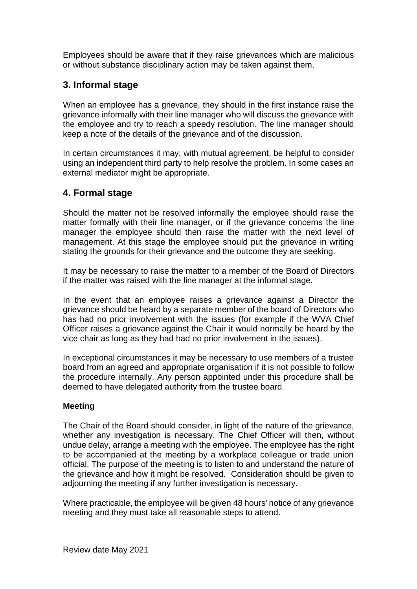Employees should be aware that if they raise grievances which are malicious or without substance disciplinary action may be taken against them.

# **3. Informal stage**

When an employee has a grievance, they should in the first instance raise the grievance informally with their line manager who will discuss the grievance with the employee and try to reach a speedy resolution. The line manager should keep a note of the details of the grievance and of the discussion.

In certain circumstances it may, with mutual agreement, be helpful to consider using an independent third party to help resolve the problem. In some cases an external mediator might be appropriate.

# **4. Formal stage**

Should the matter not be resolved informally the employee should raise the matter formally with their line manager, or if the grievance concerns the line manager the employee should then raise the matter with the next level of management. At this stage the employee should put the grievance in writing stating the grounds for their grievance and the outcome they are seeking.

It may be necessary to raise the matter to a member of the Board of Directors if the matter was raised with the line manager at the informal stage.

In the event that an employee raises a grievance against a Director the grievance should be heard by a separate member of the board of Directors who has had no prior involvement with the issues (for example if the WVA Chief Officer raises a grievance against the Chair it would normally be heard by the vice chair as long as they had had no prior involvement in the issues).

In exceptional circumstances it may be necessary to use members of a trustee board from an agreed and appropriate organisation if it is not possible to follow the procedure internally. Any person appointed under this procedure shall be deemed to have delegated authority from the trustee board.

#### **Meeting**

The Chair of the Board should consider, in light of the nature of the grievance, whether any investigation is necessary. The Chief Officer will then, without undue delay, arrange a meeting with the employee. The employee has the right to be accompanied at the meeting by a workplace colleague or trade union official. The purpose of the meeting is to listen to and understand the nature of the grievance and how it might be resolved. Consideration should be given to adjourning the meeting if any further investigation is necessary.

Where practicable, the employee will be given 48 hours' notice of any grievance meeting and they must take all reasonable steps to attend.